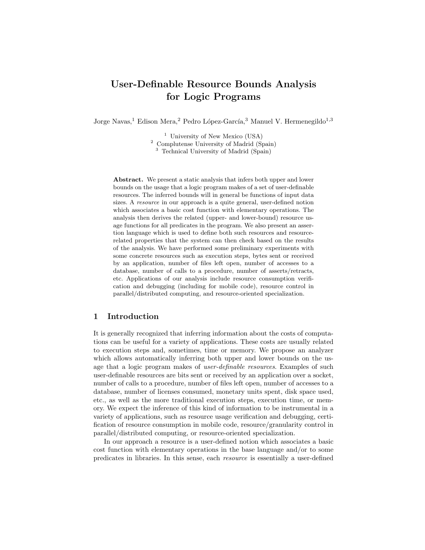# User-Definable Resource Bounds Analysis for Logic Programs

Jorge Navas,<sup>1</sup> Edison Mera,<sup>2</sup> Pedro López-García,<sup>3</sup> Manuel V. Hermenegildo<sup>1,3</sup>

<sup>1</sup> University of New Mexico (USA) <sup>2</sup> Complutense University of Madrid (Spain)

<sup>3</sup> Technical University of Madrid (Spain)

Abstract. We present a static analysis that infers both upper and lower bounds on the usage that a logic program makes of a set of user-definable resources. The inferred bounds will in general be functions of input data sizes. A *resource* in our approach is a quite general, user-defined notion which associates a basic cost function with elementary operations. The analysis then derives the related (upper- and lower-bound) resource usage functions for all predicates in the program. We also present an assertion language which is used to define both such resources and resourcerelated properties that the system can then check based on the results of the analysis. We have performed some preliminary experiments with some concrete resources such as execution steps, bytes sent or received by an application, number of files left open, number of accesses to a database, number of calls to a procedure, number of asserts/retracts, etc. Applications of our analysis include resource consumption verification and debugging (including for mobile code), resource control in parallel/distributed computing, and resource-oriented specialization.

# 1 Introduction

It is generally recognized that inferring information about the costs of computations can be useful for a variety of applications. These costs are usually related to execution steps and, sometimes, time or memory. We propose an analyzer which allows automatically inferring both upper and lower bounds on the usage that a logic program makes of user-definable resources. Examples of such user-definable resources are bits sent or received by an application over a socket, number of calls to a procedure, number of files left open, number of accesses to a database, number of licenses consumed, monetary units spent, disk space used, etc., as well as the more traditional execution steps, execution time, or memory. We expect the inference of this kind of information to be instrumental in a variety of applications, such as resource usage verification and debugging, certification of resource consumption in mobile code, resource/granularity control in parallel/distributed computing, or resource-oriented specialization.

In our approach a resource is a user-defined notion which associates a basic cost function with elementary operations in the base language and/or to some predicates in libraries. In this sense, each resource is essentially a user-defined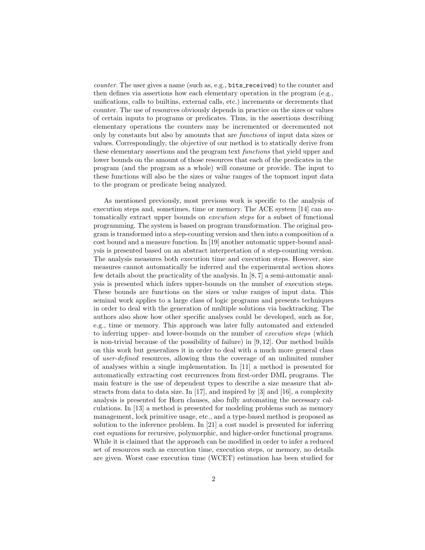counter. The user gives a name (such as, e.g., bits received) to the counter and then defines via assertions how each elementary operation in the program (e.g., unifications, calls to builtins, external calls, etc.) increments or decrements that counter. The use of resources obviously depends in practice on the sizes or values of certain inputs to programs or predicates. Thus, in the assertions describing elementary operations the counters may be incremented or decremented not only by constants but also by amounts that are functions of input data sizes or values. Correspondingly, the objective of our method is to statically derive from these elementary assertions and the program text functions that yield upper and lower bounds on the amount of those resources that each of the predicates in the program (and the program as a whole) will consume or provide. The input to these functions will also be the sizes or value ranges of the topmost input data to the program or predicate being analyzed.

As mentioned previously, most previous work is specific to the analysis of execution steps and, sometimes, time or memory. The ACE system [14] can automatically extract upper bounds on execution steps for a subset of functional programming. The system is based on program transformation. The original program is transformed into a step-counting version and then into a composition of a cost bound and a measure function. In [19] another automatic upper-bound analysis is presented based on an abstract interpretation of a step-counting version. The analysis measures both execution time and execution steps. However, size measures cannot automatically be inferred and the experimental section shows few details about the practicality of the analysis. In [8, 7] a semi-automatic analysis is presented which infers upper-bounds on the number of execution steps. These bounds are functions on the sizes or value ranges of input data. This seminal work applies to a large class of logic programs and presents techniques in order to deal with the generation of multiple solutions via backtracking. The authors also show how other specific analyses could be developed, such as for, e.g., time or memory. This approach was later fully automated and extended to inferring upper- and lower-bounds on the number of execution steps (which is non-trivial because of the possibility of failure) in [9, 12]. Our method builds on this work but generalizes it in order to deal with a much more general class of user-defined resources, allowing thus the coverage of an unlimited number of analyses within a single implementation. In [11] a method is presented for automatically extracting cost recurrences from first-order DML programs. The main feature is the use of dependent types to describe a size measure that abstracts from data to data size. In [17], and inspired by [3] and [16], a complexity analysis is presented for Horn clauses, also fully automating the necessary calculations. In [13] a method is presented for modeling problems such as memory management, lock primitive usage, etc., and a type-based method is proposed as solution to the inference problem. In [21] a cost model is presented for inferring cost equations for recursive, polymorphic, and higher-order functional programs. While it is claimed that the approach can be modified in order to infer a reduced set of resources such as execution time, execution steps, or memory, no details are given. Worst case execution time (WCET) estimation has been studied for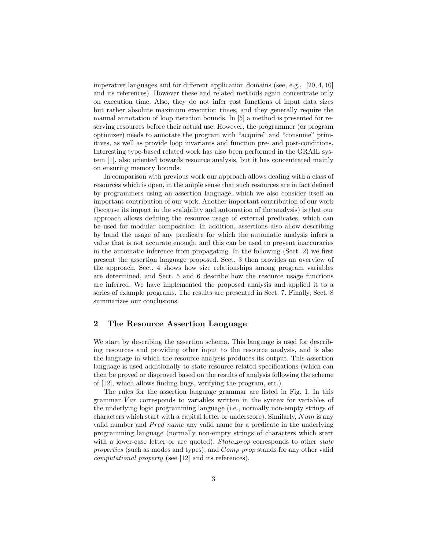imperative languages and for different application domains (see, e.g., [20, 4, 10] and its references). However these and related methods again concentrate only on execution time. Also, they do not infer cost functions of input data sizes but rather absolute maximum execution times, and they generally require the manual annotation of loop iteration bounds. In [5] a method is presented for reserving resources before their actual use. However, the programmer (or program optimizer) needs to annotate the program with "acquire" and "consume" primitives, as well as provide loop invariants and function pre- and post-conditions. Interesting type-based related work has also been performed in the GRAIL system [1], also oriented towards resource analysis, but it has concentrated mainly on ensuring memory bounds.

In comparison with previous work our approach allows dealing with a class of resources which is open, in the ample sense that such resources are in fact defined by programmers using an assertion language, which we also consider itself an important contribution of our work. Another important contribution of our work (because its impact in the scalability and automation of the analysis) is that our approach allows defining the resource usage of external predicates, which can be used for modular composition. In addition, assertions also allow describing by hand the usage of any predicate for which the automatic analysis infers a value that is not accurate enough, and this can be used to prevent inaccuracies in the automatic inference from propagating. In the following (Sect. 2) we first present the assertion language proposed. Sect. 3 then provides an overview of the approach, Sect. 4 shows how size relationships among program variables are determined, and Sect. 5 and 6 describe how the resource usage functions are inferred. We have implemented the proposed analysis and applied it to a series of example programs. The results are presented in Sect. 7. Finally, Sect. 8 summarizes our conclusions.

## 2 The Resource Assertion Language

We start by describing the assertion schema. This language is used for describing resources and providing other input to the resource analysis, and is also the language in which the resource analysis produces its output. This assertion language is used additionally to state resource-related specifications (which can then be proved or disproved based on the results of analysis following the scheme of [12], which allows finding bugs, verifying the program, etc.).

The rules for the assertion language grammar are listed in Fig. 1. In this grammar  $Var$  corresponds to variables written in the syntax for variables of the underlying logic programming language (i.e., normally non-empty strings of characters which start with a capital letter or underscore). Similarly, Num is any valid number and  $Pred_name$  any valid name for a predicate in the underlying programming language (normally non-empty strings of characters which start with a lower-case letter or are quoted). State prop corresponds to other state properties (such as modes and types), and Comp prop stands for any other valid computational property (see [12] and its references).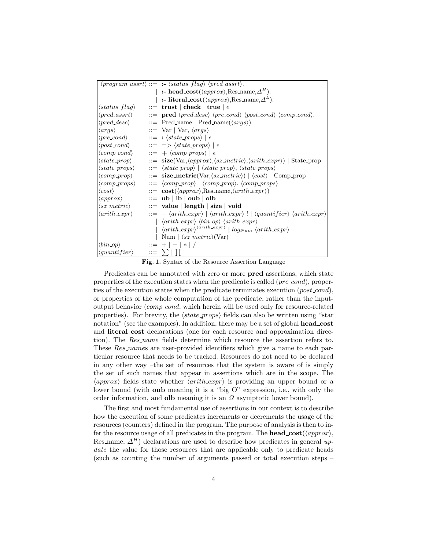|                                         | $\langle program\_assrt \rangle ::= \div \langle status\_flag \rangle \langle pred\_asst \rangle.$                                                           |
|-----------------------------------------|--------------------------------------------------------------------------------------------------------------------------------------------------------------|
|                                         | :- head_cost( $\langle approx \rangle$ , Res_name, $\Delta^H$ ).                                                                                             |
|                                         | :- literal_cost( $\langle approx \rangle$ , Res_name, $\Delta^L$ ).                                                                                          |
|                                         | $\langle status_{\textit{flag}} \rangle$ ::= trust   check   true   $\epsilon$                                                                               |
|                                         | $\langle pred\_assert \rangle$ ::= pred $\langle pred\_desc \rangle$ $\langle pre\_cond \rangle$ $\langle post\_cond \rangle$ $\langle comp\_cond \rangle$ . |
|                                         | $\langle pred\_desc \rangle$ ::= Pred_name   Pred_name( $\langle args \rangle$ )                                                                             |
| $\langle args \rangle$                  | $\mathcal{C} := \text{Var}   \text{Var}, \langle \text{args} \rangle$                                                                                        |
|                                         | $\langle pre\_cond \rangle$ ::= : $\langle state\_props \rangle \mid \epsilon$                                                                               |
|                                         | $\langle post\_cond \rangle$ ::= => $\langle state\_props \rangle$   $\epsilon$                                                                              |
|                                         | $\langle comp\_{cond}\rangle$ ::= + $\langle comp\_{props}\rangle$   $\epsilon$                                                                              |
|                                         | $\langle state\_prop \rangle$ ::= $size(Var, \langle approx \rangle, \langle sz\_metric \rangle, \langle arith\_expr \rangle)   State\_prop$                 |
|                                         | $\langle state\_props \rangle$ ::= $\langle state\_prop \rangle   \langle state\_prop \rangle, \langle state\_props \rangle$                                 |
|                                         | $\langle comp\_prop \rangle$ ::= size_metric(Var, $\langle sz\_metric \rangle$ ) $ \langle cost \rangle$   Comp_prop                                         |
|                                         | $\langle comp\_props \rangle$ ::= $\langle comp\_prop \rangle   \langle comp\_prop \rangle$ , $\langle comp\_props \rangle$                                  |
| $\langle cost \rangle$                  | $ ::= \; \textbf{cost}(\langle approx \rangle, \text{Res_name}, \langle arith\_expr \rangle)$                                                                |
|                                         | $\langle approx \rangle$ ::= ub   lb   oub   olb                                                                                                             |
|                                         | $\langle sz\_metric \rangle$ ::= value   length   size   void                                                                                                |
|                                         | $\langle arith\_expr \rangle$ ::= $-\langle arith\_expr \rangle   \langle arith\_expr \rangle    \langle quantifier \rangle   arith\_expr \rangle$           |
|                                         | $\vert \$ \langle arith\_expr \rangle \langle bin\_op \rangle \langle arith\_expr \rangle                                                                    |
|                                         | $\langle arith\_expr \rangle^{\langle arith\_expr \rangle}   log_{Num} \langle arith\_expr \rangle$                                                          |
|                                         | Num $\langle sz\_metric\rangle$ (Var)                                                                                                                        |
| $\langle bin\_op \rangle$               | $ ::= +   -   *   /$                                                                                                                                         |
| $\langle quantifier \rangle$ ::= $\sum$ |                                                                                                                                                              |

Fig. 1. Syntax of the Resource Assertion Language

Predicates can be annotated with zero or more pred assertions, which state properties of the execution states when the predicate is called (pre cond), properties of the execution states when the predicate terminates execution  $(post\_{cond})$ , or properties of the whole computation of the predicate, rather than the inputoutput behavior (comp cond, which herein will be used only for resource-related properties). For brevity, the  $\langle state\_props \rangle$  fields can also be written using "star notation" (see the examples). In addition, there may be a set of global **head\_cost** and literal cost declarations (one for each resource and approximation direction). The Res<sub>name</sub> fields determine which resource the assertion refers to. These Res<sub>names</sub> are user-provided identifiers which give a name to each particular resource that needs to be tracked. Resources do not need to be declared in any other way –the set of resources that the system is aware of is simply the set of such names that appear in assertions which are in the scope. The  $\langle approx \rangle$  fields state whether  $\langle arithmetic, xpr \rangle$  is providing an upper bound or a lower bound (with oub meaning it is a "big O" expression, i.e., with only the order information, and **olb** meaning it is an  $\Omega$  asymptotic lower bound).

The first and most fundamental use of assertions in our context is to describe how the execution of some predicates increments or decrements the usage of the resources (counters) defined in the program. The purpose of analysis is then to infer the resource usage of all predicates in the program. The **head\_cost**( $\langle approx \rangle$ , Res name,  $\Delta^H$ ) declarations are used to describe how predicates in general update the value for those resources that are applicable only to predicate heads (such as counting the number of arguments passed or total execution steps –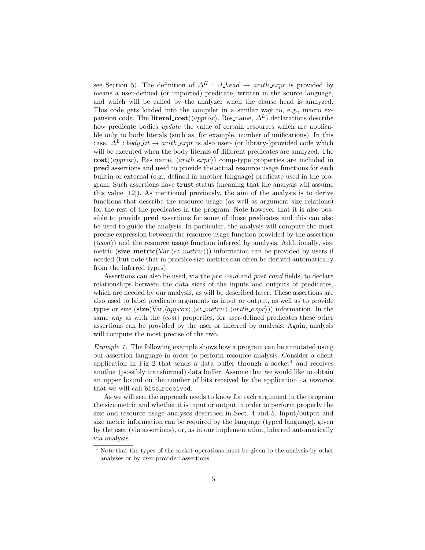see Section 5). The definition of  $\Delta^H$  : cl\_head  $\rightarrow$  arith\_expr is provided by means a user-defined (or imported) predicate, written in the source language, and which will be called by the analyzer when the clause head is analyzed. This code gets loaded into the compiler in a similar way to, e.g., macro expansion code. The **literal\_cost**( $\langle approx \rangle$ , Res\_name,  $\Delta^L$ ) declarations describe how predicate bodies *update* the value of certain resources which are applicable only to body literals (such as, for example, number of unifications). In this case,  $\Delta^L : \text{body}\_l it \rightarrow \text{arith}\_expr$  is also user- (or library-)provided code which will be executed when the body literals of different predicates are analyzed. The  $cost(\langle approx\rangle, Res_name, \langle arith\_expr\rangle)$  comp-type properties are included in pred assertions and used to provide the actual resource usage functions for each builtin or external (e.g., defined in another language) predicate used in the program. Such assertions have trust status (meaning that the analysis will assume this value [12]). As mentioned previously, the aim of the analysis is to derive functions that describe the resource usage (as well as argument size relations) for the rest of the predicates in the program. Note however that it is also possible to provide pred assertions for some of those predicates and this can also be used to guide the analysis. In particular, the analysis will compute the most precise expression between the resource usage function provided by the assertion  $(\langle cost \rangle)$  and the resource usage function inferred by analysis. Additionally, size metric (size\_metric(Var, $\langle sz\_metric\rangle$ )) information can be provided by users if needed (but note that in practice size metrics can often be derived automatically from the inferred types).

Assertions can also be used, via the *pre-cond* and *post-cond* fields, to declare relationships between the data sizes of the inputs and outputs of predicates, which are needed by our analysis, as will be described later. These assertions are also used to label predicate arguments as input or output, as well as to provide types or size  $(\text{size}(Var, \langle approx \rangle, \langle sz\_metric \rangle, \langle arith\_expr \rangle))$  information. In the same way as with the  $\langle cost \rangle$  properties, for user-defined predicates these other assertions can be provided by the user or inferred by analysis. Again, analysis will compute the most precise of the two.

Example 1. The following example shows how a program can be annotated using our assertion language in order to perform resource analysis. Consider a client application in Fig 2 that sends a data buffer through a socket<sup>4</sup> and receives another (possibly transformed) data buffer. Assume that we would like to obtain an upper bound on the number of bits received by the application –a resource that we will call bits\_received.

As we will see, the approach needs to know for each argument in the program the size metric and whether it is input or output in order to perform properly the size and resource usage analyses described in Sect. 4 and 5. Input/output and size metric information can be required by the language (typed language), given by the user (via assertions), or, as in our implementation, inferred automatically via analysis.

<sup>&</sup>lt;sup>4</sup> Note that the types of the socket operations must be given to the analysis by other analyses or by user-provided assertions.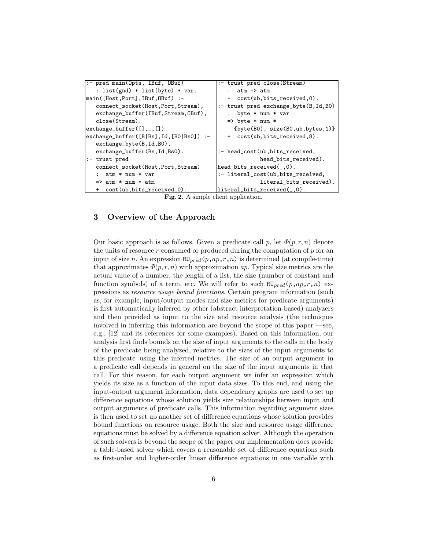```
:- pred main(Opts, IBuf, OBuf)
   : list(gnd) * list(byte) * var.
main([Host,Port],IBuf,OBuf) :-
   connect_socket(Host,Port,Stream),
  exchange_buffer(IBuf,Stream,OBuf),
   close(Stream).
ext{change\_buffer}([], []).
exchange_buffer([B|Bs],Id,[B0|Bs0]) :-
  exchange_byte(B,Id,B0),
   exchange_buffer(Bs,Id,Bs0).
:- trust pred
  connect_socket(Host,Port,Stream)
      : atm * num * var
  \Rightarrow atm * num * atm
      cost(ub, bits_received, 0)
                                              trust pred close(Stream)
                                                 atm \Rightarrow atmcost(ub,bits_received,0).
                                           :- trust pred exchange_byte(B,Id,B0)
                                                 : byte * num * var
                                              \Rightarrow byte * num *
                                                {byte(B0), size(B0,ub,bytes,1)}
                                                cost(ub,bits_received,8).
                                           :- head_cost(ub,bits_received,
                                                         head_bits_received).
                                           head_bits_received(_,0).
                                           :- literal_cost(ub,bits_received,
                                                         literal_bits_received).
                                           literal_bits_received(_,0).
```
Fig. 2. A simple client application.

# 3 Overview of the Approach

Our basic approach is as follows. Given a predicate call p, let  $\Phi(p,r,n)$  denote the units of resource  $r$  consumed or produced during the computation of  $p$  for an input of size n. An expression  $RU_{pred}(p,ap,r,n)$  is determined (at compile-time) that approximates  $\Phi(p, r, n)$  with approximation ap. Typical size metrics are the actual value of a number, the length of a list, the size (number of constant and function symbols) of a term, etc. We will refer to such  $RU_{pred}(p,ap,r,n)$  expressions as resource usage bound functions. Certain program information (such as, for example, input/output modes and size metrics for predicate arguments) is first automatically inferred by other (abstract interpretation-based) analyzers and then provided as input to the size and resource analysis (the techniques involved in inferring this information are beyond the scope of this paper —see, e.g., [12] and its references for some examples). Based on this information, our analysis first finds bounds on the size of input arguments to the calls in the body of the predicate being analyzed, relative to the sizes of the input arguments to this predicate using the inferred metrics. The size of an output argument in a predicate call depends in general on the size of the input arguments in that call. For this reason, for each output argument we infer an expression which yields its size as a function of the input data sizes. To this end, and using the input-output argument information, data dependency graphs are used to set up difference equations whose solution yields size relationships between input and output arguments of predicate calls. This information regarding argument sizes is then used to set up another set of difference equations whose solution provides bound functions on resource usage. Both the size and resource usage difference equations must be solved by a difference equation solver. Although the operation of such solvers is beyond the scope of the paper our implementation does provide a table-based solver which covers a reasonable set of difference equations such as first-order and higher-order linear difference equations in one variable with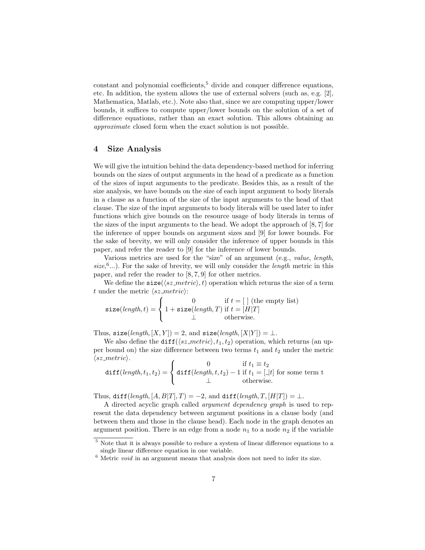constant and polynomial coefficients,<sup>5</sup> divide and conquer difference equations, etc. In addition, the system allows the use of external solvers (such as, e.g. [2], Mathematica, Matlab, etc.). Note also that, since we are computing upper/lower bounds, it suffices to compute upper/lower bounds on the solution of a set of difference equations, rather than an exact solution. This allows obtaining an approximate closed form when the exact solution is not possible.

### 4 Size Analysis

We will give the intuition behind the data dependency-based method for inferring bounds on the sizes of output arguments in the head of a predicate as a function of the sizes of input arguments to the predicate. Besides this, as a result of the size analysis, we have bounds on the size of each input argument to body literals in a clause as a function of the size of the input arguments to the head of that clause. The size of the input arguments to body literals will be used later to infer functions which give bounds on the resource usage of body literals in terms of the sizes of the input arguments to the head. We adopt the approach of [8, 7] for the inference of upper bounds on argument sizes and [9] for lower bounds. For the sake of brevity, we will only consider the inference of upper bounds in this paper, and refer the reader to [9] for the inference of lower bounds.

Various metrics are used for the "size" of an argument (e.g., value, length,  $size,$ <sup>6</sup>...). For the sake of brevity, we will only consider the *length* metric in this paper, and refer the reader to [8, 7, 9] for other metrics.

We define the  $size(\langle sz\_metric \rangle, t)$  operation which returns the size of a term t under the metric  $\langle sz\_metric \rangle$ :

$$
\text{size}(length, t) = \begin{cases} 0 & \text{if } t = [] \text{ (the empty list)}\\ 1 + \text{size}(length, T) & \text{if } t = [H|T] \\ \perp & \text{otherwise.} \end{cases}
$$

Thus, size(length,  $[X, Y]$ ) = 2, and size(length,  $[X|Y]$ ) =  $\perp$ .

We also define the  $diff(\langle sz_metric\rangle, t_1, t_2)$  operation, which returns (an upper bound on) the size difference between two terms  $t_1$  and  $t_2$  under the metric  $\langle sz\_metric\rangle$ .

$$
\text{diff}(\text{length}, t_1, t_2) = \left\{ \begin{array}{ll} 0 & \text{if } t_1 \equiv t_2 \\ \text{diff}(\text{length}, t, t_2) - 1 & \text{if } t_1 = [-|t] \text{ for some term t} \\ \perp & \text{otherwise.} \end{array} \right.
$$

Thus, diff(length,  $[A, B|T], T$ ) = -2, and diff(length, T,  $[H|T]$ ) =  $\perp$ .

A directed acyclic graph called argument dependency graph is used to represent the data dependency between argument positions in a clause body (and between them and those in the clause head). Each node in the graph denotes an argument position. There is an edge from a node  $n_1$  to a node  $n_2$  if the variable

<sup>5</sup> Note that it is always possible to reduce a system of linear difference equations to a single linear difference equation in one variable.

<sup>&</sup>lt;sup>6</sup> Metric *void* in an argument means that analysis does not need to infer its size.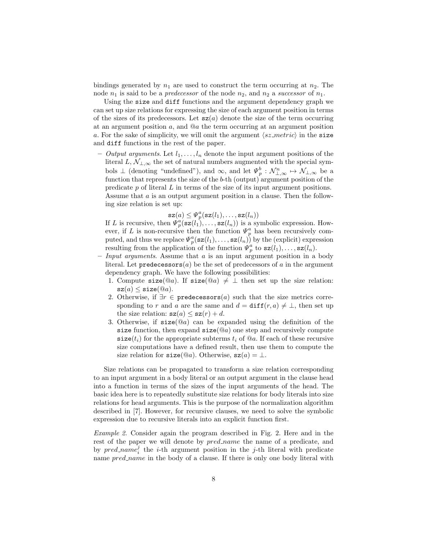bindings generated by  $n_1$  are used to construct the term occurring at  $n_2$ . The node  $n_1$  is said to be a *predecessor* of the node  $n_2$ , and  $n_2$  a *successor* of  $n_1$ .

Using the size and diff functions and the argument dependency graph we can set up size relations for expressing the size of each argument position in terms of the sizes of its predecessors. Let  $sz(a)$  denote the size of the term occurring at an argument position  $a$ , and  $@a$  the term occurring at an argument position a. For the sake of simplicity, we will omit the argument  $\langle sz\_metric \rangle$  in the size and diff functions in the rest of the paper.

– Output arguments. Let  $l_1, \ldots, l_n$  denote the input argument positions of the literal L,  $\mathcal{N}_{\perp,\infty}$  the set of natural numbers augmented with the special symbols  $\perp$  (denoting "undefined"), and  $\infty$ , and let  $\Psi_p^b : \mathcal{N}_{\perp,\infty}^n \mapsto \mathcal{N}_{\perp,\infty}$  be a function that represents the size of the b-th (output) argument position of the predicate  $p$  of literal  $L$  in terms of the size of its input argument positions. Assume that a is an output argument position in a clause. Then the following size relation is set up:

$$
\mathtt{sz}(a) \leq \Psi_p^a(\mathtt{sz}(l_1),\ldots,\mathtt{sz}(l_n))
$$

If L is recursive, then  $\Psi_p^a(\mathbf{sz}(l_1),\ldots,\mathbf{sz}(l_n))$  is a symbolic expression. However, if L is non-recursive then the function  $\Psi_p^a$  has been recursively computed, and thus we replace  $\Psi_p^a(\mathbf{sz}(l_1),\ldots,\mathbf{sz}(l_n))$  by the (explicit) expression resulting from the application of the function  $\Psi_p^a$  to  $\mathtt{sz}(l_1), \ldots, \mathtt{sz}(l_n)$ .

- Input arguments. Assume that  $a$  is an input argument position in a body literal. Let  $predecessors(a)$  be the set of predecessors of a in the argument dependency graph. We have the following possibilities:
	- 1. Compute  $size(@a)$ . If  $size(@a) \neq \bot$  then set up the size relation:  $\mathtt{sz}(a) \leq \mathtt{size}(\textcircled{a}).$
	- 2. Otherwise, if  $\exists r \in \text{predecessors}(a)$  such that the size metrics corresponding to r and a are the same and  $d = diff(r, a) \neq \bot$ , then set up the size relation:  $s\mathbf{z}(a) \leq s\mathbf{z}(r) + d$ .
	- 3. Otherwise, if  $size(@a)$  can be expanded using the definition of the size function, then expand  $size(@a)$  one step and recursively compute  $size(t_i)$  for the appropriate subterms  $t_i$  of  $@a$ . If each of these recursive size computations have a defined result, then use them to compute the size relation for  $size(@a)$ . Otherwise,  $sz(a) = \bot$ .

Size relations can be propagated to transform a size relation corresponding to an input argument in a body literal or an output argument in the clause head into a function in terms of the sizes of the input arguments of the head. The basic idea here is to repeatedly substitute size relations for body literals into size relations for head arguments. This is the purpose of the normalization algorithm described in [7]. However, for recursive clauses, we need to solve the symbolic expression due to recursive literals into an explicit function first.

Example 2. Consider again the program described in Fig. 2. Here and in the rest of the paper we will denote by *pred\_name* the name of a predicate, and by  $pred_name_i^j$  the *i*-th argument position in the *j*-th literal with predicate name pred\_name in the body of a clause. If there is only one body literal with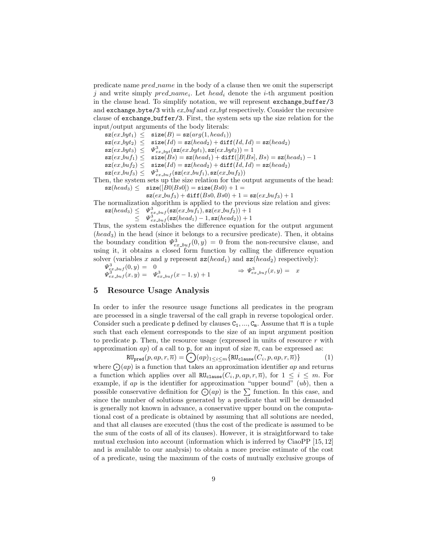predicate name pred name in the body of a clause then we omit the superscript j and write simply  $pred_name_i$ . Let  $head_i$  denote the *i*-th argument position in the clause head. To simplify notation, we will represent exchange buffer/3 and exchange byte/3 with  $ex$ -buf and  $ex$ -byt respectively. Consider the recursive clause of exchange buffer/3. First, the system sets up the size relation for the input/output arguments of the body literals:

 $sz(ex\_byt_1) \leq size(B) = sz(arg(1, head_1))$  $\mathtt{sz}(ex\_byt_2) \leq \mathtt{size}(Id) = \mathtt{sz}(head_2) + \mathtt{diff}(Id, Id) = \mathtt{sz}(head_2)$  $sz(ex\_byt_3) \leq$  $e^{3}_{ex\_byt}(\mathbf{s}\mathbf{z}(ex\_byt_1), \mathbf{s}\mathbf{z}(ex\_byt_2)) = 1$  $\texttt{sz}(ex\_buf_1) \leq \texttt{size}(Bs) = \texttt{sz}(head_1) + \texttt{diff}([B|Bs],Bs) = \texttt{sz}(head_1) - 1$  $sz(ex.buf_2) \leq$   $size(Id) = sz(head_2) + diff(Id, Id) = sz(head_2)$  $\mathtt{sz}(ex\_buf_3) \leq \Psi^3_{ex\_buf}(\mathtt{sz}(ex\_buf_1), \mathtt{sz}(ex\_buf_2))$ 

Then, the system sets up the size relation for the output arguments of the head:  $sz(head_3) \leq size([B0|Bs0]) = size(Bs0) + 1 =$ 

 $sz(ex_{1}by_{3}) + diff(Bs0, Bs0) + 1 = sz(ex_{1}by_{3}) + 1$ 

The normalization algorithm is applied to the previous size relation and gives:  $\mathtt{sz}(head_3) \leq 0$  $_{ex\_buf}^3(\mathtt{s}\mathtt{z}(ex\_buf_1),\mathtt{s}\mathtt{z}(ex\_buf_2))+1$ 

 $\leq \Psi^3_{ex\_buf}(\mathtt{sz}(head_1)-1,\mathtt{sz}(head_2))+1$ 

Thus, the system establishes the difference equation for the output argument  $(head<sub>3</sub>)$  in the head (since it belongs to a recursive predicate). Then, it obtains the boundary condition  $\Psi_{ex,buf}^3(0, y) = 0$  from the non-recursive clause, and using it, it obtains a closed form function by calling the difference equation solver (variables x and y represent  $sz(head_1)$  and  $sz(head_2)$  respectively):

 $\Psi_{ex\_buf}^3(0,y) = 0$  $\Psi_{ex-buf}^{s}(x,y) = 0$ <br>  $\Psi_{ex-buf}^{3}(x, y) = \Psi_{ex-buf}^{3}(x-1, y) + 1$   $\Rightarrow \Psi$  $e^{3}_{ex\_buf}(x,y) = x$ 

## 5 Resource Usage Analysis

In order to infer the resource usage functions all predicates in the program are processed in a single traversal of the call graph in reverse topological order. Consider such a predicate p defined by clauses  $C_1, ..., C_m$ . Assume that  $\overline{n}$  is a tuple such that each element corresponds to the size of an input argument position to predicate p. Then, the resource usage (expressed in units of resource  $r$  with approximation ap) of a call to  $p_i$  for an input of size  $\overline{n}$ , can be expressed as:

 $\text{RU}_{\text{pred}}(p, ap, r, \overline{n}) = \bigodot(ap)_{1 \leq i \leq m} \{\text{RU}_{\text{clause}}(C_i, p, ap, r, \overline{n})\}$  (1)

where  $\bigcirc$ (*ap*) is a function that takes an approximation identifier *ap* and returns a function which applies over all  $RU_{\text{clause}}(C_i, p, ap, r, \overline{n})$ , for  $1 \leq i \leq m$ . For example, if ap is the identifier for approximation "upper bound"  $(ub)$ , then a possible conservative definition for  $\overrightarrow{O}(ap)$  is the  $\sum$  function. In this case, and since the number of solutions generated by a predicate that will be demanded is generally not known in advance, a conservative upper bound on the computational cost of a predicate is obtained by assuming that all solutions are needed, and that all clauses are executed (thus the cost of the predicate is assumed to be the sum of the costs of all of its clauses). However, it is straightforward to take mutual exclusion into account (information which is inferred by CiaoPP [15, 12] and is available to our analysis) to obtain a more precise estimate of the cost of a predicate, using the maximum of the costs of mutually exclusive groups of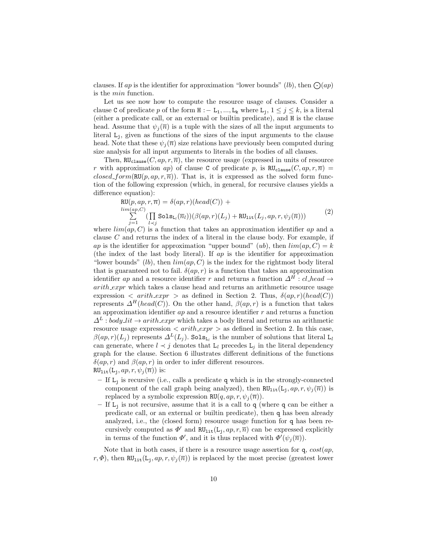clauses. If ap is the identifier for approximation "lower bounds" (*lb*), then  $\bigcap (ap)$ is the min function.

Let us see now how to compute the resource usage of clauses. Consider a clause C of predicate p of the form  $H := L_1, ..., L_k$  where  $L_j$ ,  $1 \leq j \leq k$ , is a literal (either a predicate call, or an external or builtin predicate), and H is the clause head. Assume that  $\psi_i(\overline{n})$  is a tuple with the sizes of all the input arguments to literal  $L_i$ , given as functions of the sizes of the input arguments to the clause head. Note that these  $\psi_i(\overline{n})$  size relations have previously been computed during size analysis for all input arguments to literals in the bodies of all clauses.

Then,  $RU_{\text{clause}}(C, ap, r, \overline{n})$ , the resource usage (expressed in units of resource r with approximation ap) of clause C of predicate p, is  $RU_{\text{clause}}(C, ap, r, \overline{n}) =$ closed form( $RU(p, ap, r, \overline{n})$ ). That is, it is expressed as the solved form function of the following expression (which, in general, for recursive clauses yields a difference equation):

$$
\begin{array}{ll}\n\mathtt{RU}(p, ap, r, \overline{n}) = \delta(ap, r)(head(C)) + \\
\sum_{j=1}^{\lim(ap, C)} \left( \prod_{l \prec j} \mathtt{Sols}_{\mathtt{L}_l}(\overline{n}_l) \right) (\beta(ap, r)(L_j) + \mathtt{RU}_{\mathtt{lit}}(L_j, ap, r, \psi_j(\overline{n})))\n\end{array} \tag{2}
$$

where  $\lim(ap, C)$  is a function that takes an approximation identifier ap and a clause  $C$  and returns the index of a literal in the clause body. For example, if ap is the identifier for approximation "upper bound" (ub), then  $\lim(ap, C) = k$ (the index of the last body literal). If ap is the identifier for approximation "lower bounds" (*lb*), then  $lim(ap, C)$  is the index for the rightmost body literal that is guaranteed not to fail.  $\delta(ap,r)$  is a function that takes an approximation identifier ap and a resource identifier r and returns a function  $\Delta^H$  : cl head  $\rightarrow$ arith expr which takes a clause head and returns an arithmetic resource usage expression  $\langle$  arith\_expr  $\rangle$  as defined in Section 2. Thus,  $\delta(ap, r)(head(C))$ represents  $\Delta^H(head(C))$ . On the other hand,  $\beta(ap,r)$  is a function that takes an approximation identifier  $ap$  and a resource identifier  $r$  and returns a function  $\Delta^L : \text{body}\_l it \rightarrow \text{arith\_expr}$  which takes a body literal and returns an arithmetic resource usage expression  $\langle$  arith\_expr  $\rangle$  as defined in Section 2. In this case,  $\beta(ap,r)(L_j)$  represents  $\Delta^L(L_j)$ . Sols<sub>L<sub>i</sub></sub> is the number of solutions that literal L<sub>i</sub> can generate, where  $l \prec j$  denotes that  $L_l$  precedes  $L_j$  in the literal dependency graph for the clause. Section 6 illustrates different definitions of the functions  $\delta(ap,r)$  and  $\beta(ap,r)$  in order to infer different resources.  $RU_{\text{lit}}(L_i, ap, r, \psi_j(\overline{n}))$  is:

- If  $L_i$  is recursive (i.e., calls a predicate q which is in the strongly-connected component of the call graph being analyzed), then  $RU_{1it}(L_i, ap, r, \psi_i(\overline{n}))$  is replaced by a symbolic expression  $RU(q, ap, r, \psi_i(\overline{n})).$
- If  $L_i$  is not recursive, assume that it is a call to q (where q can be either a predicate call, or an external or builtin predicate), then q has been already analyzed, i.e., the (closed form) resource usage function for q has been recursively computed as  $\Phi'$  and  $RU_{1it}(L_j, ap, r, \overline{n})$  can be expressed explicitly in terms of the function  $\Phi'$ , and it is thus replaced with  $\Phi'(\psi_j(\overline{n}))$ .

Note that in both cases, if there is a resource usage assertion for  $q$ ,  $cost(ap)$ , r,  $\Phi$ ), then RU<sub>lit</sub>(L<sub>j</sub>, ap, r,  $\psi_j(\overline{n})$ ) is replaced by the most precise (greatest lower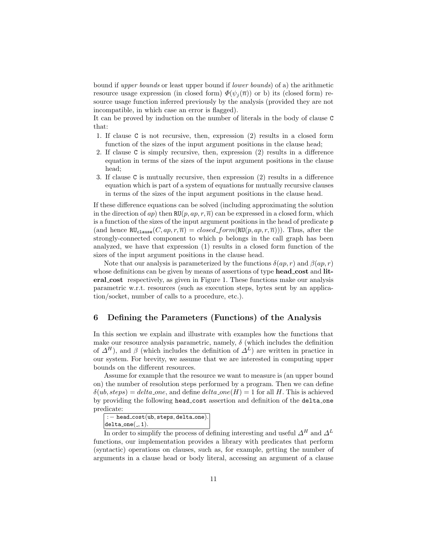bound if upper bounds or least upper bound if lower bounds) of a) the arithmetic resource usage expression (in closed form)  $\Phi(\psi_i(\overline{n}))$  or b) its (closed form) resource usage function inferred previously by the analysis (provided they are not incompatible, in which case an error is flagged).

It can be proved by induction on the number of literals in the body of clause C that:

- 1. If clause C is not recursive, then, expression (2) results in a closed form function of the sizes of the input argument positions in the clause head;
- 2. If clause C is simply recursive, then, expression (2) results in a difference equation in terms of the sizes of the input argument positions in the clause head;
- 3. If clause C is mutually recursive, then expression (2) results in a difference equation which is part of a system of equations for mutually recursive clauses in terms of the sizes of the input argument positions in the clause head.

If these difference equations can be solved (including approximating the solution in the direction of ap) then  $RU(p, ap, r, \overline{n})$  can be expressed in a closed form, which is a function of the sizes of the input argument positions in the head of predicate p (and hence  $RU_{\text{clause}}(C, ap, r, \overline{n}) = closed-form(RU(p, ap, r, \overline{n}))).$  Thus, after the strongly-connected component to which p belongs in the call graph has been analyzed, we have that expression (1) results in a closed form function of the sizes of the input argument positions in the clause head.

Note that our analysis is parameterized by the functions  $\delta(ap,r)$  and  $\beta(ap,r)$ whose definitions can be given by means of assertions of type head\_cost and literal cost respectively, as given in Figure 1. These functions make our analysis parametric w.r.t. resources (such as execution steps, bytes sent by an application/socket, number of calls to a procedure, etc.).

#### 6 Defining the Parameters (Functions) of the Analysis

In this section we explain and illustrate with examples how the functions that make our resource analysis parametric, namely,  $\delta$  (which includes the definition of  $\Delta^H$ ), and  $\beta$  (which includes the definition of  $\Delta^L$ ) are written in practice in our system. For brevity, we assume that we are interested in computing upper bounds on the different resources.

Assume for example that the resource we want to measure is (an upper bound on) the number of resolution steps performed by a program. Then we can define  $\delta(ub, steps) = delta\_{one}$ , and define  $delta\_{one}(H) = 1$  for all H. This is achieved by providing the following head cost assertion and definition of the delta one predicate:

: - head\_cost(ub, steps, delta\_one).

 $|{\tt delta\_one}(\_,1).$ 

In order to simplify the process of defining interesting and useful  $\Delta^H$  and  $\Delta^L$ functions, our implementation provides a library with predicates that perform (syntactic) operations on clauses, such as, for example, getting the number of arguments in a clause head or body literal, accessing an argument of a clause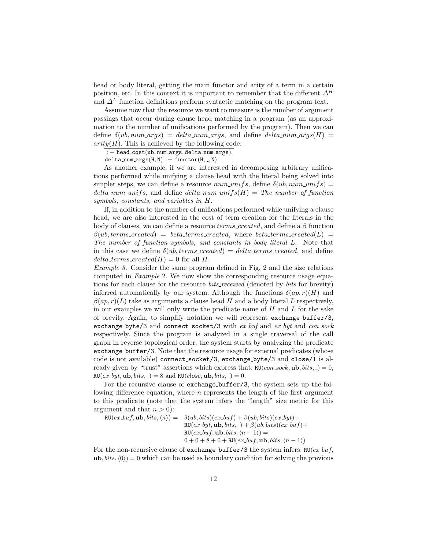head or body literal, getting the main functor and arity of a term in a certain position, etc. In this context it is important to remember that the different  $\Delta^H$ and  $\Delta^L$  function definitions perform syntactic matching on the program text.

Assume now that the resource we want to measure is the number of argument passings that occur during clause head matching in a program (as an approximation to the number of unifications performed by the program). Then we can define  $\delta(ub, num\_{args}) = delta\_{num\_{args},$  and define  $delta\_{num\_{args}}(H)$  $arity(H)$ . This is achieved by the following code:

:− head cost(ub, num args, delta num args).

 $\det$ delta\_num\_args $(H, N) :=$ functor $(H, \_, N)$ .

As another example, if we are interested in decomposing arbitrary unifications performed while unifying a clause head with the literal being solved into simpler steps, we can define a resource  $num\_units$ , define  $\delta(ub, num\_unifs)$  $delta_{num\_unif}$  s, and define delta num unifs(H) = The number of function symbols, constants, and variables in H.

If, in addition to the number of unifications performed while unifying a clause head, we are also interested in the cost of term creation for the literals in the body of clauses, we can define a resource  $terms\_created$ , and define a  $\beta$  function  $\beta(ub, terms_created) = beta\_terms_created, where beta\_terms_created(L) =$ The number of function symbols, and constants in body literal L. Note that in this case we define  $\delta (ub, terms\_created) = delta\_terms\_created$ , and define  $delta{}_{\mathcal{L}}$  terms created(H) = 0 for all H.

Example 3. Consider the same program defined in Fig. 2 and the size relations computed in Example 2. We now show the corresponding resource usage equations for each clause for the resource bits received (denoted by bits for brevity) inferred automatically by our system. Although the functions  $\delta(ap, r)(H)$  and  $\beta(ap,r)(L)$  take as arguments a clause head H and a body literal L respectively, in our examples we will only write the predicate name of  $H$  and  $L$  for the sake of brevity. Again, to simplify notation we will represent exchange buffer/3, exchange byte/3 and connect socket/3 with  $ex\_buf$  and  $ex\_byt$  and  $con\_sock$ respectively. Since the program is analyzed in a single traversal of the call graph in reverse topological order, the system starts by analyzing the predicate exchange\_buffer/3. Note that the resource usage for external predicates (whose code is not available) connect socket/3, exchange byte/3 and close/1 is already given by "trust" assertions which express that:  $RU(con\_sock, ub, bits, ) = 0$ ,  $RU(ex_byt, ub, bits, ) = 8$  and  $RUclose, ub, bits, ) = 0.$ 

For the recursive clause of exchange buffer/3, the system sets up the following difference equation, where  $n$  represents the length of the first argument to this predicate (note that the system infers the "length" size metric for this argument and that  $n > 0$ :

 $RU(ex_buf, ub, bits, \langle n \rangle) = \delta(ub, bits)(ex_buf) + \beta(ub, bits)(ex_byt) +$  $RU(ex_byt, ub, bits, ) + \beta (ub, bits)(ex_byt) +$  $RU(ex_buf, ub, bits, (n - 1)) =$  $0 + 0 + 8 + 0 + RU(ex.buf, ub, bits, \langle n - 1 \rangle)$ 

For the non-recursive clause of exchange buffer/3 the system infers:  $RU(ex.buf,$ ub,  $bits, \langle 0 \rangle$  = 0 which can be used as boundary condition for solving the previous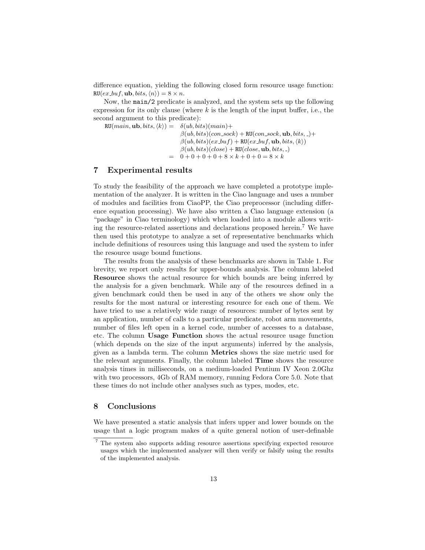difference equation, yielding the following closed form resource usage function:  $RU(ex\_buf, ub, bits, \langle n \rangle) = 8 \times n.$ 

Now, the main/2 predicate is analyzed, and the system sets up the following expression for its only clause (where  $k$  is the length of the input buffer, i.e., the second argument to this predicate):

 $RU(main, ub, bits, \langle k \rangle) = \delta(ub, bits)(main) +$  $\beta(ub, bits)(con\_sock) + \text{RU}(con\_sock, ub, bits, ) +$  $\beta(ub, bits)(ex\_buf) + \text{RU}(ex\_buf, ub, bits, \langle k \rangle)$  $\beta(ub,bits)(close) + \text{RU}(close, \textbf{ub}, bits, ...)$  $= 0 + 0 + 0 + 0 + 8 \times k + 0 + 0 = 8 \times k$ 

## 7 Experimental results

To study the feasibility of the approach we have completed a prototype implementation of the analyzer. It is written in the Ciao language and uses a number of modules and facilities from CiaoPP, the Ciao preprocessor (including difference equation processing). We have also written a Ciao language extension (a "package" in Ciao terminology) which when loaded into a module allows writing the resource-related assertions and declarations proposed herein.<sup>7</sup> We have then used this prototype to analyze a set of representative benchmarks which include definitions of resources using this language and used the system to infer the resource usage bound functions.

The results from the analysis of these benchmarks are shown in Table 1. For brevity, we report only results for upper-bounds analysis. The column labeled Resource shows the actual resource for which bounds are being inferred by the analysis for a given benchmark. While any of the resources defined in a given benchmark could then be used in any of the others we show only the results for the most natural or interesting resource for each one of them. We have tried to use a relatively wide range of resources: number of bytes sent by an application, number of calls to a particular predicate, robot arm movements, number of files left open in a kernel code, number of accesses to a database, etc. The column Usage Function shows the actual resource usage function (which depends on the size of the input arguments) inferred by the analysis, given as a lambda term. The column Metrics shows the size metric used for the relevant arguments. Finally, the column labeled Time shows the resource analysis times in milliseconds, on a medium-loaded Pentium IV Xeon 2.0Ghz with two processors, 4Gb of RAM memory, running Fedora Core 5.0. Note that these times do not include other analyses such as types, modes, etc.

### 8 Conclusions

We have presented a static analysis that infers upper and lower bounds on the usage that a logic program makes of a quite general notion of user-definable

 $^7$  The system also supports adding resource assertions specifying expected resource usages which the implemented analyzer will then verify or falsify using the results of the implemented analysis.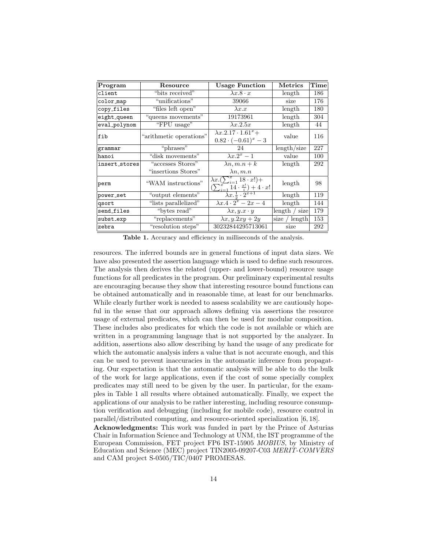| Program       | Resource                | <b>Usage Function</b>                                                                                                                                | <b>Metrics</b>  | Time |
|---------------|-------------------------|------------------------------------------------------------------------------------------------------------------------------------------------------|-----------------|------|
| client        | "bits received"         | $\lambda x.8 \cdot x$                                                                                                                                | length          | 186  |
| color_map     | "unifications"          | 39066                                                                                                                                                | size            | 176  |
| copy_files    | "files left open"       | $\lambda x.x$                                                                                                                                        | length          | 180  |
| eight_queen   | "queens movements"      | 19173961                                                                                                                                             | length          | 304  |
| eval_polynom  | "FPU usage"             | $\lambda x.2.5x$                                                                                                                                     | length          | 44   |
| fib           | "arithmetic operations" | $\lambda x.2.17 \cdot 1.61^{x} +$<br>$0.82 \cdot (-0.61)^{x} - 3$                                                                                    | value           | 116  |
| grammar       | "phrases"               | 24                                                                                                                                                   | length/size     | 227  |
| hanoi         | "disk movements"        | $\lambda x.2^x - 1$                                                                                                                                  | value           | 100  |
| insert_stores | "accesses Stores"       | $\lambda n, m.n+k$                                                                                                                                   | length          | 292  |
|               | "insertions Stores"     | $\lambda n, m.n$                                                                                                                                     |                 |      |
| perm          | "WAM instructions"      | $\lambda x. (\sum_{i=1}^x 18 \cdot x!) +$<br>$\frac{(\sum_{i=1}^{x} 14 \cdot \frac{x!}{i}) + 4 \cdot x!}{\lambda x \cdot \frac{1}{2} \cdot 2^{x+1}}$ | length          | 98   |
| power_set     | "output elements"       |                                                                                                                                                      | length          | 119  |
| qsort         | "lists parallelized"    | $\lambda x . 4 \cdot 2^x - 2x - 4$                                                                                                                   | length          | 144  |
| send_files    | "bytes read"            | $\lambda x, y.x \cdot y$                                                                                                                             | length / size   | 179  |
| subst_exp     | "replacements"          | $\lambda x, y.2xy + 2y$                                                                                                                              | size / $length$ | 153  |
| zebra         | "resolution steps"      | 30232844295713061                                                                                                                                    | size            | 292  |

Table 1. Accuracy and efficiency in milliseconds of the analysis.

resources. The inferred bounds are in general functions of input data sizes. We have also presented the assertion language which is used to define such resources. The analysis then derives the related (upper- and lower-bound) resource usage functions for all predicates in the program. Our preliminary experimental results are encouraging because they show that interesting resource bound functions can be obtained automatically and in reasonable time, at least for our benchmarks. While clearly further work is needed to assess scalability we are cautiously hopeful in the sense that our approach allows defining via assertions the resource usage of external predicates, which can then be used for modular composition. These includes also predicates for which the code is not available or which are written in a programming language that is not supported by the analyzer. In addition, assertions also allow describing by hand the usage of any predicate for which the automatic analysis infers a value that is not accurate enough, and this can be used to prevent inaccuracies in the automatic inference from propagating. Our expectation is that the automatic analysis will be able to do the bulk of the work for large applications, even if the cost of some specially complex predicates may still need to be given by the user. In particular, for the examples in Table 1 all results where obtained automatically. Finally, we expect the applications of our analysis to be rather interesting, including resource consumption verification and debugging (including for mobile code), resource control in parallel/distributed computing, and resource-oriented specialization [6, 18].

Acknowledgments: This work was funded in part by the Prince of Asturias Chair in Information Science and Technology at UNM, the IST programme of the European Commission, FET project FP6 IST-15905 MOBIUS, by Ministry of Education and Science (MEC) project TIN2005-09207-C03 MERIT-COMVERS and CAM project S-0505/TIC/0407 PROMESAS.